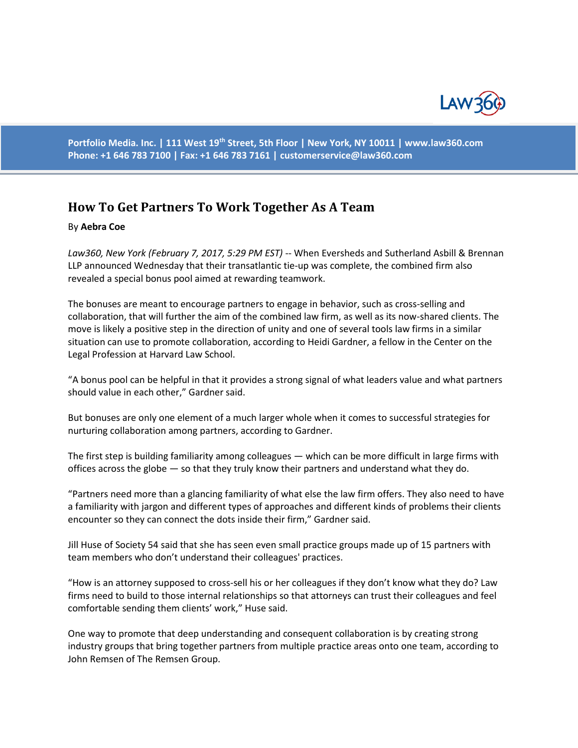

**Portfolio Media. Inc. | 111 West 19th Street, 5th Floor | New York, NY 10011 | www.law360.com Phone: +1 646 783 7100 | Fax: +1 646 783 7161 | [customerservice@law360.com](mailto:customerservice@law360.com)**

## **How To Get Partners To Work Together As A Team**

## By **Aebra Coe**

Law360, New York (February 7, 2017, 5:29 PM EST) -- When Eversheds and Sutherland Asbill & Brennan LLP announced Wednesday that their transatlantic tie-up was complete, the combined firm also revealed a special bonus pool aimed at rewarding teamwork.

The bonuses are meant to encourage partners to engage in behavior, such as cross-selling and collaboration, that will further the aim of the combined law firm, as well as its now-shared clients. The move is likely a positive step in the direction of unity and one of several tools law firms in a similar situation can use to promote collaboration, according to Heidi Gardner, a fellow in the Center on the Legal Profession at Harvard Law School.

"A bonus pool can be helpful in that it provides a strong signal of what leaders value and what partners should value in each other," Gardner said.

But bonuses are only one element of a much larger whole when it comes to successful strategies for nurturing collaboration among partners, according to Gardner.

The first step is building familiarity among colleagues — which can be more difficult in large firms with offices across the globe — so that they truly know their partners and understand what they do.

"Partners need more than a glancing familiarity of what else the law firm offers. They also need to have a familiarity with jargon and different types of approaches and different kinds of problems their clients encounter so they can connect the dots inside their firm," Gardner said.

Jill Huse of Society 54 said that she has seen even small practice groups made up of 15 partners with team members who don't understand their colleagues' practices.

"How is an attorney supposed to cross-sell his or her colleagues if they don't know what they do? Law firms need to build to those internal relationships so that attorneys can trust their colleagues and feel comfortable sending them clients' work," Huse said.

One way to promote that deep understanding and consequent collaboration is by creating strong industry groups that bring together partners from multiple practice areas onto one team, according to John Remsen of The Remsen Group.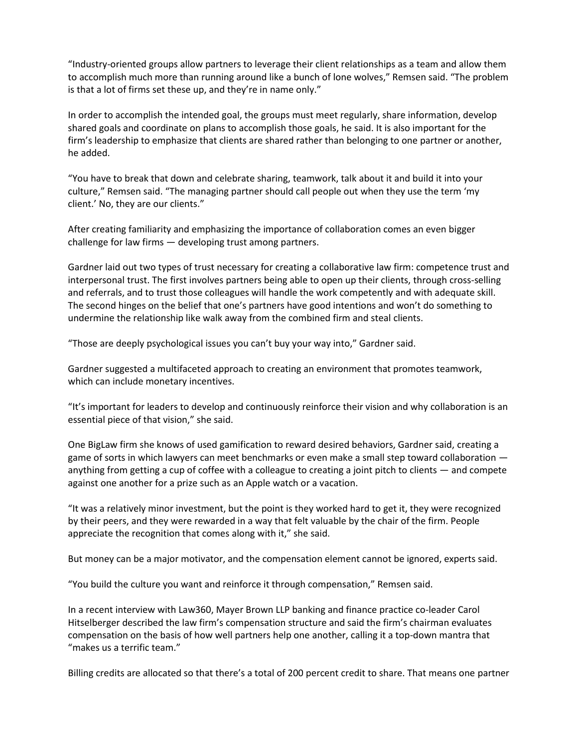"Industry-oriented groups allow partners to leverage their client relationships as a team and allow them to accomplish much more than running around like a bunch of lone wolves," Remsen said. "The problem is that a lot of firms set these up, and they're in name only."

In order to accomplish the intended goal, the groups must meet regularly, share information, develop shared goals and coordinate on plans to accomplish those goals, he said. It is also important for the firm's leadership to emphasize that clients are shared rather than belonging to one partner or another, he added.

"You have to break that down and celebrate sharing, teamwork, talk about it and build it into your culture," Remsen said. "The managing partner should call people out when they use the term 'my client.' No, they are our clients."

After creating familiarity and emphasizing the importance of collaboration comes an even bigger challenge for law firms — developing trust among partners.

Gardner laid out two types of trust necessary for creating a collaborative law firm: competence trust and interpersonal trust. The first involves partners being able to open up their clients, through cross-selling and referrals, and to trust those colleagues will handle the work competently and with adequate skill. The second hinges on the belief that one's partners have good intentions and won't do something to undermine the relationship like walk away from the combined firm and steal clients.

"Those are deeply psychological issues you can't buy your way into," Gardner said.

Gardner suggested a multifaceted approach to creating an environment that promotes teamwork, which can include monetary incentives.

"It's important for leaders to develop and continuously reinforce their vision and why collaboration is an essential piece of that vision," she said.

One BigLaw firm she knows of used gamification to reward desired behaviors, Gardner said, creating a game of sorts in which lawyers can meet benchmarks or even make a small step toward collaboration anything from getting a cup of coffee with a colleague to creating a joint pitch to clients — and compete against one another for a prize such as an Apple watch or a vacation.

"It was a relatively minor investment, but the point is they worked hard to get it, they were recognized by their peers, and they were rewarded in a way that felt valuable by the chair of the firm. People appreciate the recognition that comes along with it," she said.

But money can be a major motivator, and the compensation element cannot be ignored, experts said.

"You build the culture you want and reinforce it through compensation," Remsen said.

In a recent interview with Law360, Mayer Brown LLP banking and finance practice co-leader Carol Hitselberger described the law firm's compensation structure and said the firm's chairman evaluates compensation on the basis of how well partners help one another, calling it a top-down mantra that "makes us a terrific team."

Billing credits are allocated so that there's a total of 200 percent credit to share. That means one partner